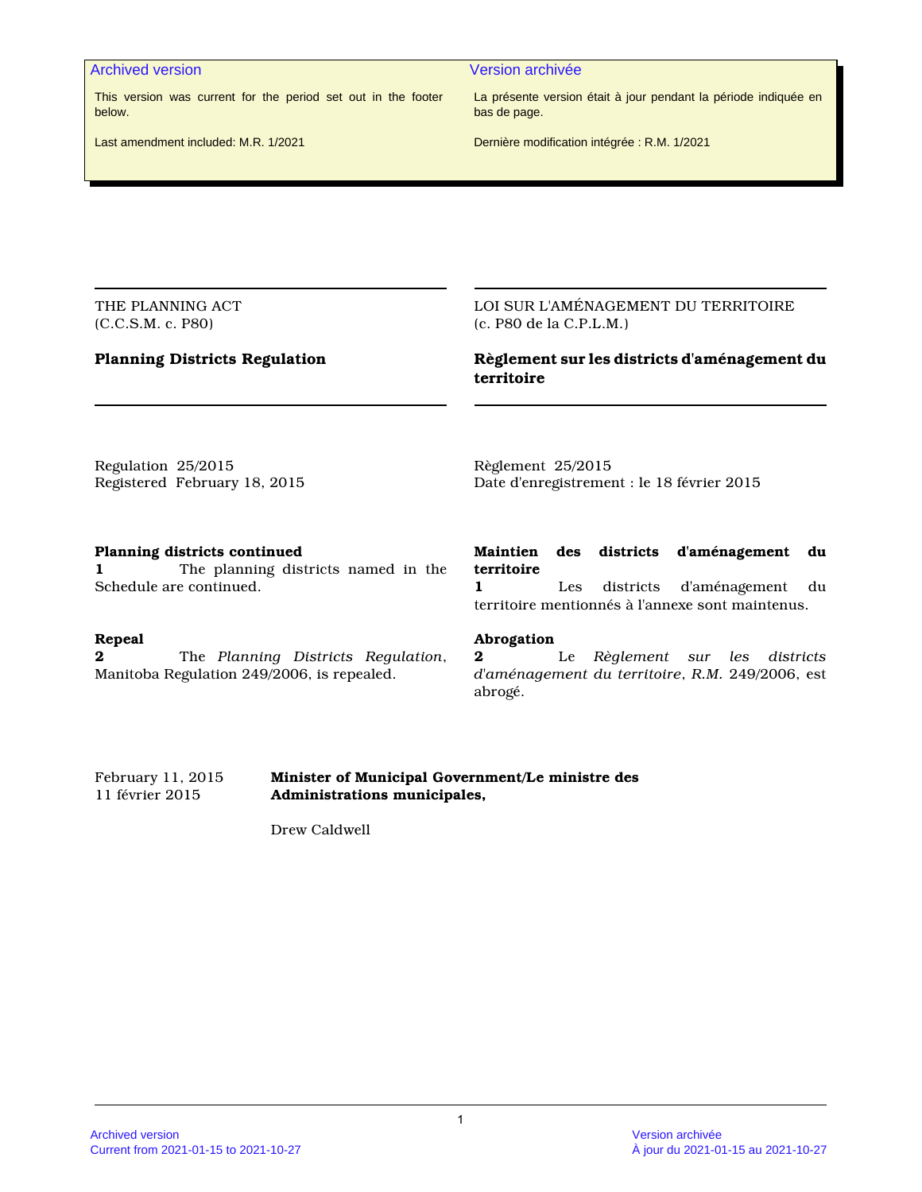#### Archived version and version archivée and version archivée

This version was current for the period set out in the footer below.

La présente version était à jour pendant la période indiquée en bas de page.

Last amendment included: M.R. 1/2021

Dernière modification intégrée : R.M. 1/2021

THE PLANNING ACT (C.C.S.M. c. P80)

# **Planning Districts Regulation**

LOI SUR L'AMÉNAGEMENT DU TERRITOIRE (c. P80 de la C.P.L.M.)

# **Règlement sur les districts d'aménagement du territoire**

Regulation 25/2015 Registered February 18, 2015 Règlement 25/2015 Date d'enregistrement : le 18 février 2015

#### **Planning districts continued**

**1** The planning districts named in the Schedule are continued.

#### **Repeal**

**2** The *Planning Districts Regulation*, Manitoba Regulation 249/2006, is repealed.

# **Maintien des districts d'aménagement du territoire**

**1** Les districts d'aménagement du territoire mentionnés à l'annexe sont maintenus.

#### **Abrogation**

**2** Le *Règlement sur les districts d'aménagement du territoire*, *R.M.* 249/2006, est abrogé.

#### February 11, 2015 **Minister of Municipal Government/Le ministre des** 11 février 2015 **Administrations municipales,**

Drew Caldwell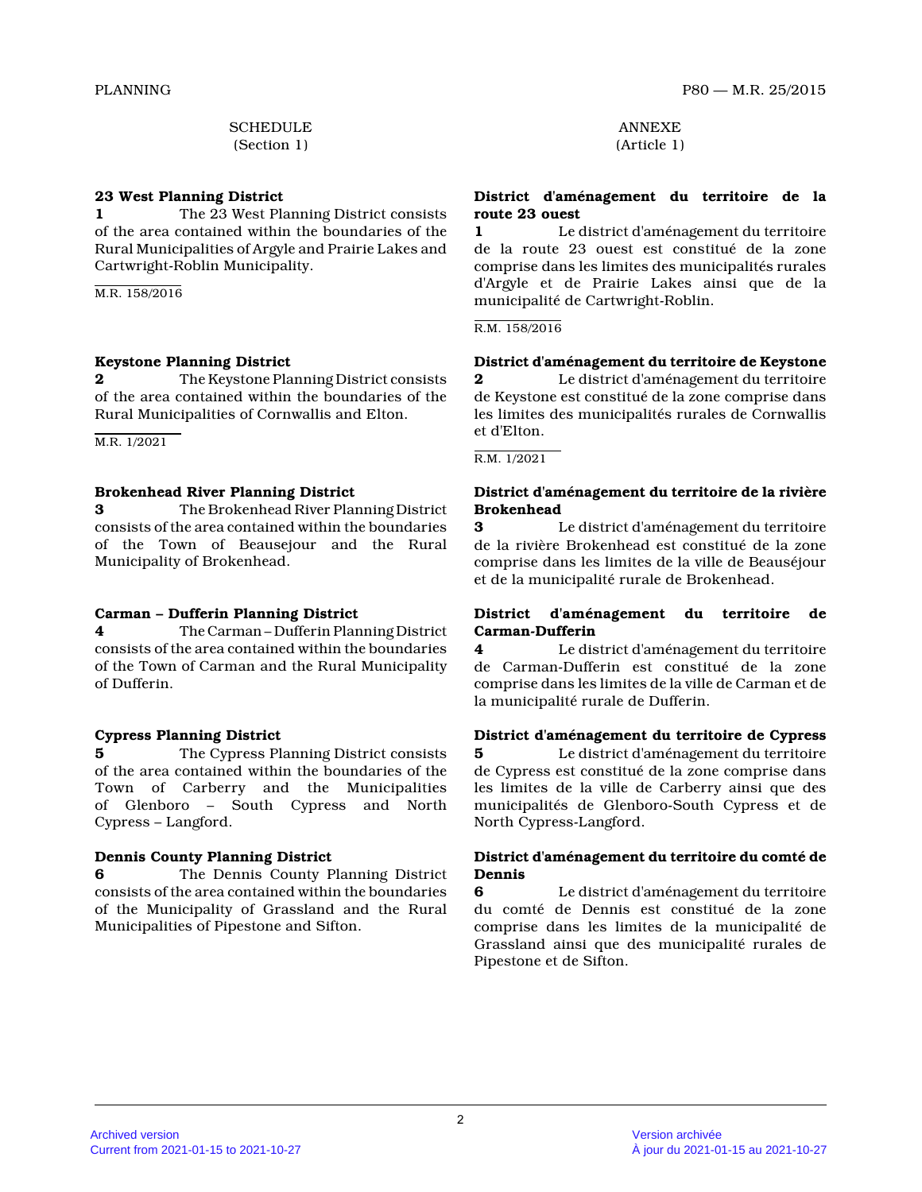**SCHEDULE** (Section 1)

#### **23 West Planning District**

**1** The 23 West Planning District consists of the area contained within the boundaries of the Rural Municipalities of Argyle and Prairie Lakes an d Cartwright-Roblin Municipality.

M.R. 158/2016

# **Keystone Planning District**

**2** The Keystone Planning District consists of the area contained within the boundaries of the Rural Municipalities of Cornwallis and Elton.

M.R. 1/2021

# **Brokenhead River Planning District**

**3** The Brokenhead River Planning District consists of the area contained within the boundarie s of the Town of Beausejour and the Rural Municipality of Brokenhead.

# **Carman – Dufferin Planning District**

**4** The Carman – Dufferin Planning District consists of the area contained within the boundarie s of the Town of Carman and the Rural Municipality of Dufferin.

# **Cypress Planning District**

**5** The Cypress Planning District consists of the area contained within the boundaries of the Town of Carberry and the Municipalities of Glenboro – South Cypress and North Cypress – Langford.

# **Dennis County Planning District**

**6** The Dennis County Planning District consists of the area contained within the boundarie s of the Municipality of Grassland and the Rural Municipalities of Pipestone and Sifton.

ANNEXE (Article 1)

# **District d'aménagement du territoire de la route 23 ouest**

**1** Le district d'aménagement du territoire de la route 23 ouest est constitué de la zone comprise dans les limites des municipalités rurales d'Argyle et de Prairie Lakes ainsi que de la municipalité de Cartwright-Roblin.

R.M. 158/2016

# **District d'aménagement du territoire de Keystone**

**2** Le district d'aménagement du territoire de Keystone est constitué de la zone comprise dans les limites des municipalités rurales de Cornwallis et d'Elton.

R.M. 1/2021

# **District d'aménagement du territoire de la rivière Brokenhead 3** Le district d'aménagement du territoire

de la rivière Brokenhead est constitué de la zone comprise dans les limites de la ville de Beauséjour et de la municipalité rurale de Brokenhead.

# **District d'aménagement du territoire de Carman-Dufferin**

**4** Le district d'aménagement du territoire de Carman-Dufferin est constitué de la zone comprise dans les limites de la ville de Carman et de la municipalité rurale de Dufferin.

# **District d'aménagement du territoire de Cypress 5** Le district d'aménagement du territoire

de Cypress est constitué de la zone comprise dans les limites de la ville de Carberry ainsi que des municipalités de Glenboro-South Cypress et de North Cypress-Langford.

# **District d'aménagement du territoire du comté de Dennis**

**6** Le district d'aménagement du territoire du comté de Dennis est constitué de la zone comprise dans les limites de la municipalité de Grassland ainsi que des municipalité rurales de Pipestone et de Sifton.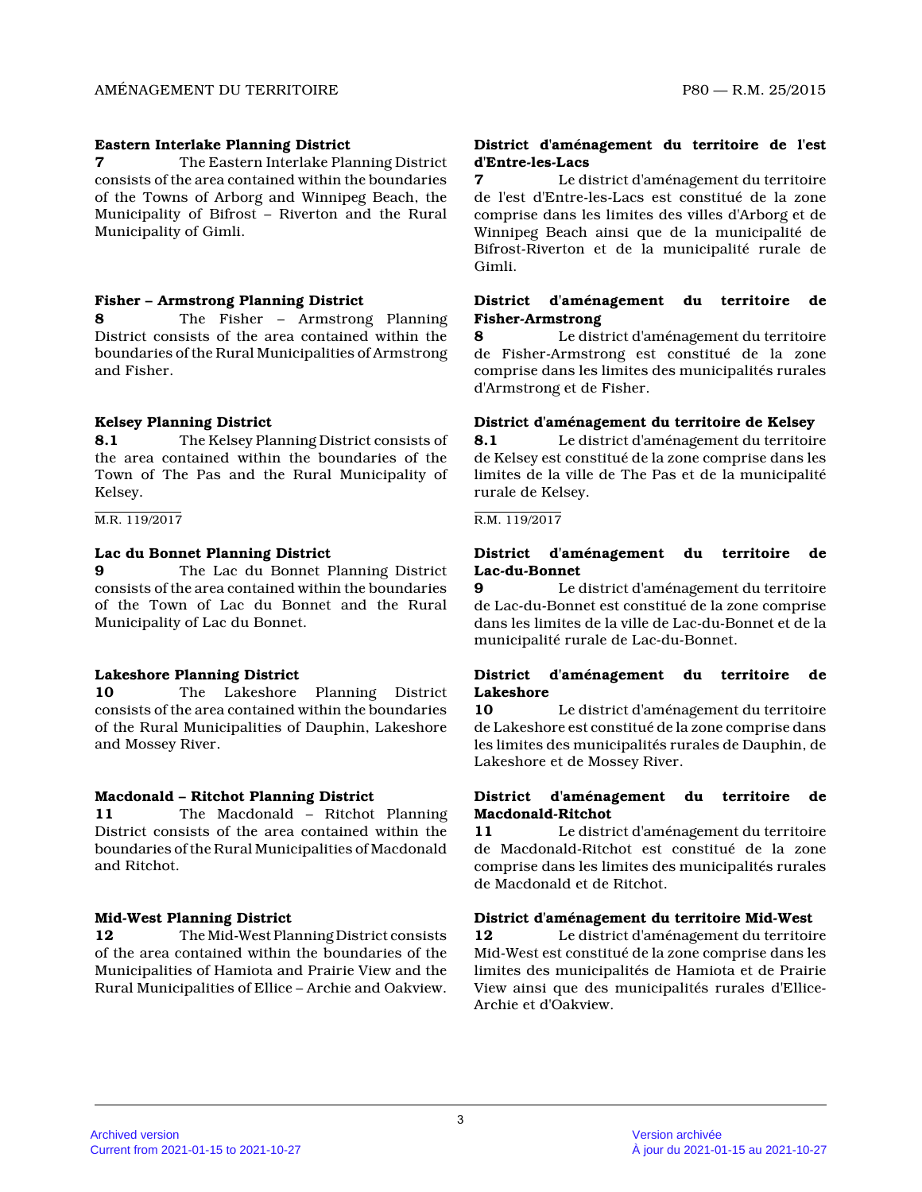#### **Eastern Interlake Planning District**

**7** The Eastern Interlake Planning District consists of the area contained within the boundarie s of the Towns of Arborg and Winnipeg Beach, the Municipality of Bifrost – Riverton and the Rural Municipality of Gimli.

#### **Fisher – Armstrong Planning District**

**8** The Fisher – Armstrong Planning District consists of the area contained within the boundaries of the Rural Municipalities of Armstrong and Fisher.

# **Kelsey Planning District**

**8.1** The Kelsey Planning District consists of the area contained within the boundaries of the Town of The Pas and the Rural Municipality of Kelsey.

#### M.R. 119/2017

#### **Lac du Bonnet Planning District**

**9** The Lac du Bonnet Planning District consists of the area contained within the boundarie s of the Town of Lac du Bonnet and the Rural Municipality of Lac du Bonnet.

# **Lakeshore Planning District**

**10** The Lakeshore Planning District consists of the area contained within the boundarie s of the Rural Municipalities of Dauphin, Lakeshore and Mossey River.

# **Macdonald – Ritchot Planning District**

**11** The Macdonald – Ritchot Planning District consists of the area contained within the boundaries of the Rural Municipalities of Macdonald and Ritchot.

# **Mid-West Planning District**

**12** The Mid-West Planning District consists of the area contained within the boundaries of the Municipalities of Hamiota and Prairie View and the Rural Municipalities of Ellice – Archie and Oakview .

#### **District d'aménagement du territoire de l'est d'Entre-les-Lacs**

**7** Le district d'aménagement du territoire de l'est d'Entre-les-Lacs est constitué de la zone comprise dans les limites des villes d'Arborg et de Winnipeg Beach ainsi que de la municipalité de Bifrost-Riverton et de la municipalité rurale de Gimli.

#### **District d'aménagement du territoire de Fisher-Armstrong**

**8** Le district d'aménagement du territoire de Fisher-Armstrong est constitué de la zone comprise dans les limites des municipalités rurales d'Armstrong et de Fisher.

#### **District d'aménagement du territoire de Kelsey**

**8.1** Le district d'aménagement du territoire de Kelsey est constitué de la zone comprise dans le s limites de la ville de The Pas et de la municipalit é rurale de Kelsey.

#### R.M. 119/2017

#### **District d'aménagement du territoire de Lac-du-Bonnet**

**9** Le district d'aménagement du territoire de Lac-du-Bonnet est constitué de la zone comprise dans les limites de la ville de Lac-du-Bonnet et de la municipalité rurale de Lac-du-Bonnet.

#### **District d'aménagement du territoire de Lakeshore**

**10** Le district d'aménagement du territoire de Lakeshore est constitué de la zone comprise dans les limites des municipalités rurales de Dauphin, d e Lakeshore et de Mossey River.

#### **District d'aménagement du territoire de Macdonald-Ritchot**

**11** Le district d'aménagement du territoire de Macdonald-Ritchot est constitué de la zone comprise dans les limites des municipalités rurales de Macdonald et de Ritchot.

# **District d'aménagement du territoire Mid-West**

**12** Le district d'aménagement du territoire Mid-West est constitué de la zone comprise dans les limites des municipalités de Hamiota et de Prairie View ainsi que des municipalités rurales d'Ellice-Archie et d'Oakview.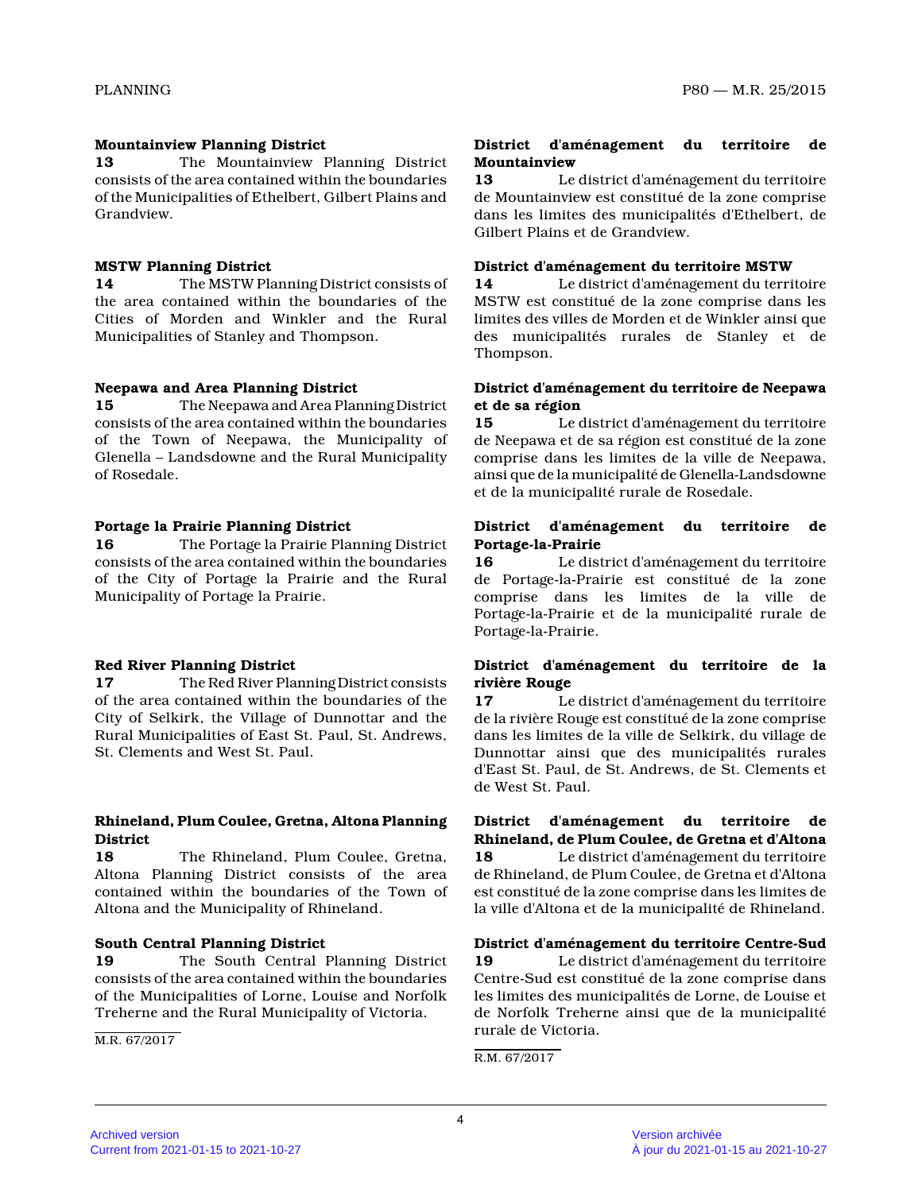#### **Mountainview Planning District**

**13** The Mountainview Planning District consists of the area contained within the boundarie s of the Municipalities of Ethelbert, Gilbert Plains and Grandview.

#### **MSTW Planning District**

**14** The MSTW Planning District consists of the area contained within the boundaries of the Cities of Morden and Winkler and the Rural Municipalities of Stanley and Thompson.

#### **Neepawa and Area Planning District**

**15** The Neepawa and Area Planning District consists of the area contained within the boundarie s of the Town of Neepawa, the Municipality of Glenella – Landsdowne and the Rural Municipality of Rosedale.

# **Portage la Prairie Planning District**

**16** The Portage la Prairie Planning District consists of the area contained within the boundarie s of the City of Portage la Prairie and the Rural Municipality of Portage la Prairie.

# **Red River Planning District**

**17** The Red River Planning District consists of the area contained within the boundaries of the City of Selkirk, the Village of Dunnottar and the Rural Municipalities of East St. Paul, St. Andrews, St. Clements and West St. Paul.

#### **Rhineland, Plum Coulee, Gretna, Altona Planning District**

**18** The Rhineland, Plum Coulee, Gretna, Altona Planning District consists of the area contained within the boundaries of the Town of Altona and the Municipality of Rhineland.

#### **South Central Planning District**

**19** The South Central Planning District consists of the area contained within the boundarie s of the Municipalities of Lorne, Louise and Norfolk Treherne and the Rural Municipality of Victoria.

M.R. 67/2017

#### **District d'aménagement du territoire de Mountainview**

**13** Le district d'aménagement du territoire de Mountainview est constitué de la zone comprise dans les limites des municipalités d'Ethelbert, de Gilbert Plains et de Grandview.

#### **District d'aménagement du territoire MSTW**

**14** Le district d'aménagement du territoire MSTW est constitué de la zone comprise dans les limites des villes de Morden et de Winkler ainsi qu e des municipalités rurales de Stanley et de Thompson.

#### **District d'aménagement du territoire de Neepawa et de sa région**

**15** Le district d'aménagement du territoire de Neepawa et de sa région est constitué de la zone comprise dans les limites de la ville de Neepawa, ainsi que de la municipalité de Glenella-Landsdowne et de la municipalité rurale de Rosedale.

#### **District d'aménagement du territoire de Portage-la-Prairie**

**16** Le district d'aménagement du territoire de Portage-la-Prairie est constitué de la zone comprise dans les limites de la ville de Portage-la-Prairie et de la municipalité rurale de Portage-la-Prairie.

# **District d'aménagement du territoire de la rivière Rouge**

**17** Le district d'aménagement du territoire de la rivière Rouge est constitué de la zone comprise dans les limites de la ville de Selkirk, du village de Dunnottar ainsi que des municipalités rurales d'East St. Paul, de St. Andrews, de St. Clements et de West St. Paul.

**District d'aménagement du territoire de Rhineland, de Plum Coulee, de Gretna et d'Altona 18** Le district d'aménagement du territoire de Rhineland, de Plum Coulee, de Gretna et d'Altona est constitué de la zone comprise dans les limites de la ville d'Altona et de la municipalité de Rhineland.

# **District d'aménagement du territoire Centre-Sud**

**19** Le district d'aménagement du territoire Centre-Sud est constitué de la zone comprise dans les limites des municipalités de Lorne, de Louise e t de Norfolk Treherne ainsi que de la municipalité rurale de Victoria.

R.M. 67/2017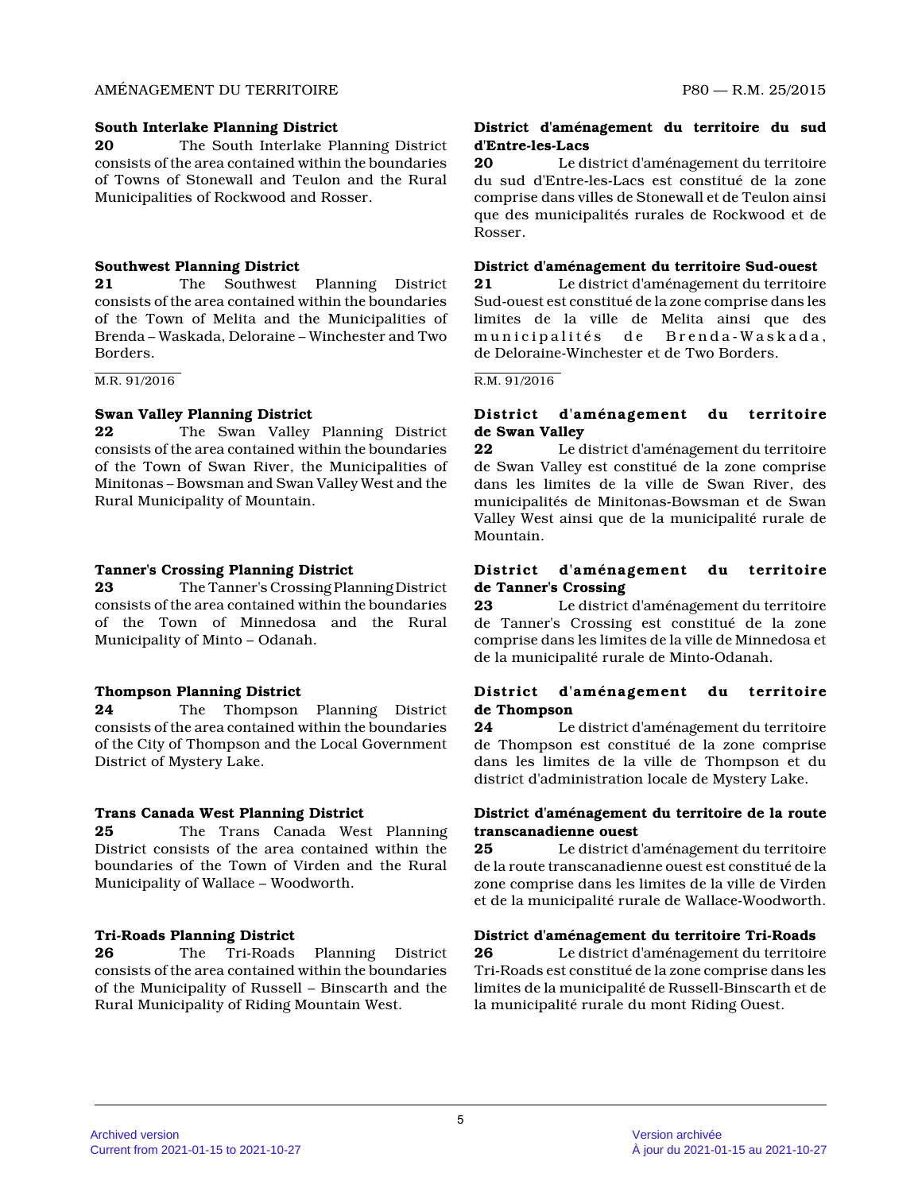#### AMÉNAGEMENT DU TERRITOIRE P80 — R.M. 25/2015

#### **South Interlake Planning District**

**20** The South Interlake Planning District consists of the area contained within the boundarie s of Towns of Stonewall and Teulon and the Rural Municipalities of Rockwood and Rosser.

# **Southwest Planning District**

**21** The Southwest Planning District consists of the area contained within the boundarie s of the Town of Melita and the Municipalities of Brenda – Waskada, Deloraine – Winchester and Two Borders.

M.R. 91/2016

# **Swan Valley Planning District**

**22** The Swan Valley Planning District consists of the area contained within the boundarie s of the Town of Swan River, the Municipalities of Minitonas – Bowsman and Swan Valley West and the Rural Municipality of Mountain.

# **Tanner's Crossing Planning District**

**23** The Tanner's Crossing Planning District consists of the area contained within the boundarie s of the Town of Minnedosa and the Rural Municipality of Minto – Odanah.

# **Thompson Planning District**

**24** The Thompson Planning District consists of the area contained within the boundarie s of the City of Thompson and the Local Government District of Mystery Lake.

# **Trans Canada West Planning District**

**25** The Trans Canada West Planning District consists of the area contained within the boundaries of the Town of Virden and the Rural Municipality of Wallace – Woodworth.

# **Tri-Roads Planning District**

**26** The Tri-Roads Planning District consists of the area contained within the boundarie s of the Municipality of Russell – Binscarth and the Rural Municipality of Riding Mountain West.

# **District d'aménagement du territoire du sud d'Entre-les-Lacs**

**20** Le district d'aménagement du territoire du sud d'Entre-les-Lacs est constitué de la zone comprise dans villes de Stonewall et de Teulon ains i que des municipalités rurales de Rockwood et de Rosser.

# **District d'aménagement du territoire Sud-ouest**

**21** Le district d'aménagement du territoire Sud-ouest est constitué de la zone comprise dans le s limites de la ville de Melita ainsi que des municipalités de Brenda-Waskada, de Deloraine-Winchester et de Two Borders.

#### R.M. 91/2016

# **District d'aménagement du territoire de Swan Valley**

**22** Le district d'aménagement du territoire de Swan Valley est constitué de la zone comprise dans les limites de la ville de Swan River, des municipalités de Minitonas-Bowsman et de Swan Valley West ainsi que de la municipalité rurale de Mountain.

# **District d'aménagement du territoire de Tanner's Crossing**

**23** Le district d'aménagement du territoire de Tanner's Crossing est constitué de la zone comprise dans les limites de la ville de Minnedosa et de la municipalité rurale de Minto-Odanah.

# **District d'aménagement du territoire de Thompson**

**24** Le district d'aménagement du territoire de Thompson est constitué de la zone comprise dans les limites de la ville de Thompson et du district d'administration locale de Mystery Lake.

# **District d'aménagement du territoire de la route transcanadienne ouest**

**25** Le district d'aménagement du territoire de la route transcanadienne ouest est constitué de la zone comprise dans les limites de la ville de Virde n et de la municipalité rurale de Wallace-Woodworth.

# **District d'aménagement du territoire Tri-Roads**

**26** Le district d'aménagement du territoire Tri-Roads est constitué de la zone comprise dans le s limites de la municipalité de Russell-Binscarth et de la municipalité rurale du mont Riding Ouest.